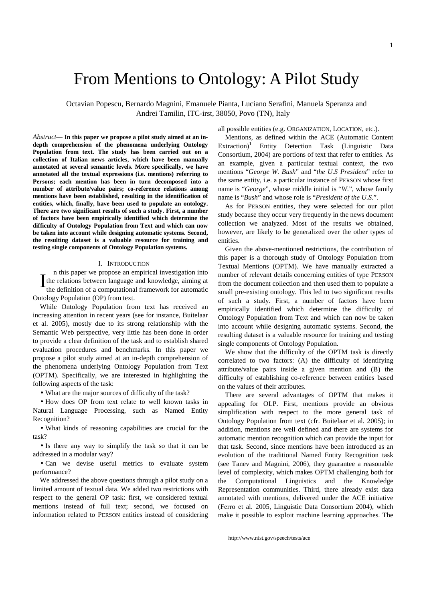# From Mentions to Ontology: A Pilot Study

Octavian Popescu, Bernardo Magnini, Emanuele Pianta, Luciano Serafini, Manuela Speranza and Andrei Tamilin, ITC-irst, 38050, Povo (TN), Italy

*Abstract*— **In this paper we propose a pilot study aimed at an indepth comprehension of the phenomena underlying Ontology Population from text. The study has been carried out on a collection of Italian news articles, which have been manually annotated at several semantic levels. More specifically, we have annotated all the textual expressions (i.e. mentions) referring to Persons; each mention has been in turn decomposed into a number of attribute/value pairs; co-reference relations among mentions have been established, resulting in the identification of entities, which, finally, have been used to populate an ontology. There are two significant results of such a study. First, a number of factors have been empirically identified which determine the difficulty of Ontology Population from Text and which can now be taken into account while designing automatic systems. Second, the resulting dataset is a valuable resource for training and testing single components of Ontology Population systems.** 

#### I. INTRODUCTION

n this paper we propose an empirical investigation into If the relations between language and knowledge, aiming at the definition of a computational framework for automatic the definition of a computational framework for automatic Ontology Population (OP) from text.

While Ontology Population from text has received an increasing attention in recent years (see for instance, Buitelaar et al. 2005), mostly due to its strong relationship with the Semantic Web perspective, very little has been done in order to provide a clear definition of the task and to establish shared evaluation procedures and benchmarks. In this paper we propose a pilot study aimed at an in-depth comprehension of the phenomena underlying Ontology Population from Text (OPTM). Specifically, we are interested in highlighting the following aspects of the task:

• What are the major sources of difficulty of the task?

• How does OP from text relate to well known tasks in Natural Language Processing, such as Named Entity Recognition?

• What kinds of reasoning capabilities are crucial for the task?

• Is there any way to simplify the task so that it can be addressed in a modular way?

• Can we devise useful metrics to evaluate system performance?

We addressed the above questions through a pilot study on a limited amount of textual data. We added two restrictions with respect to the general OP task: first, we considered textual mentions instead of full text; second, we focused on information related to PERSON entities instead of considering

all possible entities (e.g. ORGANIZATION, LOCATION, etc.).

Mentions, as defined within the ACE (Automatic Content  $Extraction$ <sup>1</sup> Entity Detection Task (Linguistic Data Consortium, 2004) are portions of text that refer to entities. As an example, given a particular textual context, the two mentions "*George W. Bush*" and "*the U.S President*" refer to the same entity, i.e. a particular instance of PERSON whose first name is "*George*", whose middle initial is "*W*.", whose family name is "*Bush*" and whose role is "*President of the U.S.*".

As for PERSON entities, they were selected for our pilot study because they occur very frequently in the news document collection we analyzed. Most of the results we obtained, however, are likely to be generalized over the other types of entities.

Given the above-mentioned restrictions, the contribution of this paper is a thorough study of Ontology Population from Textual Mentions (OPTM). We have manually extracted a number of relevant details concerning entities of type PERSON from the document collection and then used them to populate a small pre-existing ontology. This led to two significant results of such a study. First, a number of factors have been empirically identified which determine the difficulty of Ontology Population from Text and which can now be taken into account while designing automatic systems. Second, the resulting dataset is a valuable resource for training and testing single components of Ontology Population.

We show that the difficulty of the OPTM task is directly correlated to two factors: (A) the difficulty of identifying attribute/value pairs inside a given mention and (B) the difficulty of establishing co-reference between entities based on the values of their attributes.

There are several advantages of OPTM that makes it appealing for OLP. First, mentions provide an obvious simplification with respect to the more general task of Ontology Population from text (cfr. Buitelaar et al. 2005); in addition, mentions are well defined and there are systems for automatic mention recognition which can provide the input for that task. Second, since mentions have been introduced as an evolution of the traditional Named Entity Recognition task (see Tanev and Magnini, 2006), they guarantee a reasonable level of complexity, which makes OPTM challenging both for the Computational Linguistics and the Knowledge Representation communities. Third, there already exist data annotated with mentions, delivered under the ACE initiative (Ferro et al. 2005, Linguistic Data Consortium 2004), which make it possible to exploit machine learning approaches. The

<sup>1</sup> http://www.nist.gov/speech/tests/ace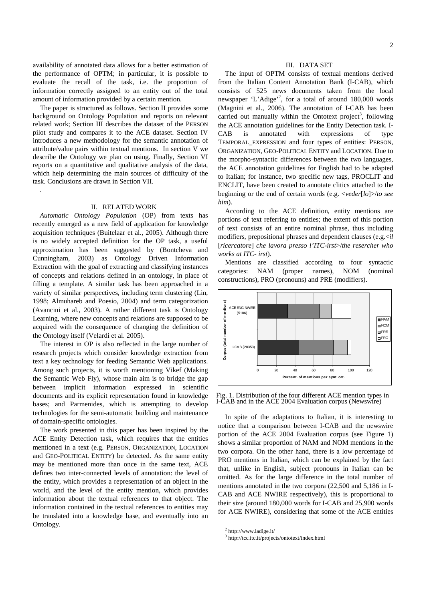availability of annotated data allows for a better estimation of the performance of OPTM; in particular, it is possible to evaluate the recall of the task, i.e. the proportion of information correctly assigned to an entity out of the total amount of information provided by a certain mention.

The paper is structured as follows. Section II provides some background on Ontology Population and reports on relevant related work; Section III describes the dataset of the PERSON pilot study and compares it to the ACE dataset. Section IV introduces a new methodology for the semantic annotation of attribute/value pairs within textual mentions. In section V we describe the Ontology we plan on using. Finally, Section VI reports on a quantitative and qualitative analysis of the data, which help determining the main sources of difficulty of the task. Conclusions are drawn in Section VII.

## II. RELATED WORK

.

*Automatic Ontology Population* (OP) from texts has recently emerged as a new field of application for knowledge acquisition techniques (Buitelaar et al., 2005). Although there is no widely accepted definition for the OP task, a useful approximation has been suggested by (Bontcheva and Cunningham, 2003) as Ontology Driven Information Extraction with the goal of extracting and classifying instances of concepts and relations defined in an ontology, in place of filling a template. A similar task has been approached in a variety of similar perspectives, including term clustering (Lin, 1998; Almuhareb and Poesio, 2004) and term categorization (Avancini et al., 2003). A rather different task is Ontology Learning, where new concepts and relations are supposed to be acquired with the consequence of changing the definition of the Ontology itself (Velardi et al. 2005).

The interest in OP is also reflected in the large number of research projects which consider knowledge extraction from text a key technology for feeding Semantic Web applications. Among such projects, it is worth mentioning Vikef (Making the Semantic Web Fly), whose main aim is to bridge the gap between implicit information expressed in scientific documents and its explicit representation found in knowledge bases; and Parmenides, which is attempting to develop technologies for the semi-automatic building and maintenance of domain-specific ontologies.

The work presented in this paper has been inspired by the ACE Entity Detection task, which requires that the entities mentioned in a text (e.g. PERSON, ORGANIZATION, LOCATION and GEO-POLITICAL ENTITY) be detected. As the same entity may be mentioned more than once in the same text, ACE defines two inter-connected levels of annotation: the level of the entity, which provides a representation of an object in the world, and the level of the entity mention, which provides information about the textual references to that object. The information contained in the textual references to entities may be translated into a knowledge base, and eventually into an Ontology.

#### III. DATA SET

The input of OPTM consists of textual mentions derived from the Italian Content Annotation Bank (I-CAB), which consists of 525 news documents taken from the local newspaper 'L'Adige'<sup>2</sup>, for a total of around 180,000 words (Magnini et al., 2006). The annotation of I-CAB has been carried out manually within the Ontotext project<sup>3</sup>, following the ACE annotation guidelines for the Entity Detection task. I-CAB is annotated with expressions of type TEMPORAL\_EXPRESSION and four types of entities: PERSON, ORGANIZATION, GEO-POLITICAL ENTITY and LOCATION. Due to the morpho-syntactic differences between the two languages, the ACE annotation guidelines for English had to be adapted to Italian; for instance, two specific new tags, PROCLIT and ENCLIT, have been created to annotate clitics attached to the beginning or the end of certain words (e.g. <*veder*[*lo*]>/*to see him*).

According to the ACE definition, entity mentions are portions of text referring to entities; the extent of this portion of text consists of an entire nominal phrase, thus including modifiers, prepositional phrases and dependent clauses (e.g.<*il*  [*ricercatore*] *che lavora presso l'ITC-irst*>/*the resercher who works at ITC- irst*).

Mentions are classified according to four syntactic categories: NAM (proper names), NOM (nominal constructions), PRO (pronouns) and PRE (modifiers).



Fig. 1. Distribution of the four different ACE mention types in I-CAB and in the ACE 2004 Evaluation corpus (Newswire)

In spite of the adaptations to Italian, it is interesting to notice that a comparison between I-CAB and the newswire portion of the ACE 2004 Evaluation corpus (see Figure 1) shows a similar proportion of NAM and NOM mentions in the two corpora. On the other hand, there is a low percentage of PRO mentions in Italian, which can be explained by the fact that, unlike in English, subject pronouns in Italian can be omitted. As for the large difference in the total number of mentions annotated in the two corpora (22,500 and 5,186 in I-CAB and ACE NWIRE respectively), this is proportional to their size (around 180,000 words for I-CAB and 25,900 words for ACE NWIRE), considering that some of the ACE entities

<sup>&</sup>lt;sup>2</sup> http://www.ladige.it/

<sup>3</sup> http://tcc.itc.it/projects/ontotext/index.html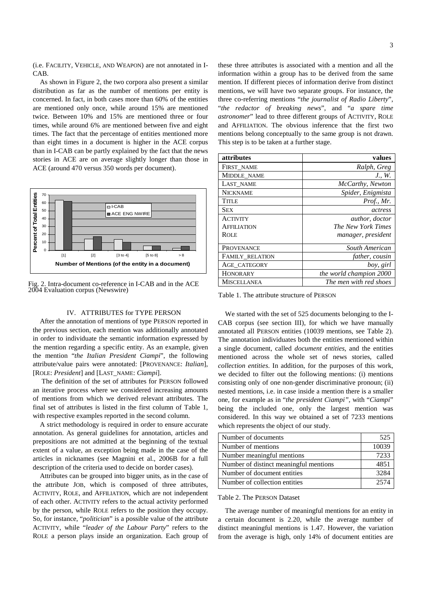(i.e. FACILITY, VEHICLE, AND WEAPON) are not annotated in I-CAB.

As shown in Figure 2, the two corpora also present a similar distribution as far as the number of mentions per entity is concerned. In fact, in both cases more than 60% of the entities are mentioned only once, while around 15% are mentioned twice. Between 10% and 15% are mentioned three or four times, while around 6% are mentioned between five and eight times. The fact that the percentage of entities mentioned more than eight times in a document is higher in the ACE corpus than in I-CAB can be partly explained by the fact that the news stories in ACE are on average slightly longer than those in ACE (around 470 versus 350 words per document).



Fig. 2. Intra-document co-reference in I-CAB and in the ACE 2004 Evaluation corpus (Newswire)

## IV. ATTRIBUTES for TYPE PERSON

After the annotation of mentions of type PERSON reported in the previous section, each mention was additionally annotated in order to individuate the semantic information expressed by the mention regarding a specific entity. As an example, given the mention "*the Italian President Ciampi*", the following attribute/value pairs were annotated: [PROVENANCE: *Italian*], [ROLE: *President*] and [LAST\_NAME: *Ciampi*].

 The definition of the set of attributes for PERSON followed an iterative process where we considered increasing amounts of mentions from which we derived relevant attributes. The final set of attributes is listed in the first column of Table 1, with respective examples reported in the second column.

A strict methodology is required in order to ensure accurate annotation. As general guidelines for annotation, articles and prepositions are not admitted at the beginning of the textual extent of a value, an exception being made in the case of the articles in nicknames (see Magnini et al., 2006B for a full description of the criteria used to decide on border cases).

Attributes can be grouped into bigger units, as in the case of the attribute JOB, which is composed of three attributes, ACTIVITY, ROLE, and AFFILIATION, which are not independent of each other. ACTIVITY refers to the actual activity performed by the person, while ROLE refers to the position they occupy. So, for instance, "*politician*" is a possible value of the attribute ACTIVITY, while "*leader of the Labour Party*" refers to the ROLE a person plays inside an organization. Each group of

these three attributes is associated with a mention and all the information within a group has to be derived from the same mention. If different pieces of information derive from distinct mentions, we will have two separate groups. For instance, the three co-referring mentions "*the journalist of Radio Liberty*", "*the redactor of breaking news*", and "*a spare time astronomer*" lead to three different groups of ACTIVITY, ROLE and AFFILIATION. The obvious inference that the first two mentions belong conceptually to the same group is not drawn. This step is to be taken at a further stage.

| attributes             | values                  |
|------------------------|-------------------------|
| FIRST NAME             | Ralph, Greg             |
| MIDDLE NAME            | J., W.                  |
| LAST NAME              | McCarthy, Newton        |
| <b>NICKNAME</b>        | Spider, Enigmista       |
| Title                  | Prof., Mr.              |
| <b>SEX</b>             | actress                 |
| ACTIVITY               | author, doctor          |
| <b>AFFILIATION</b>     | The New York Times      |
| <b>ROLE</b>            | manager, president      |
| PROVENANCE             | South American          |
| <b>FAMILY RELATION</b> | father, cousin          |
| AGE CATEGORY           | boy, girl               |
| HONORARY               | the world champion 2000 |
| MISCELLANEA            | The men with red shoes  |

Table 1. The attribute structure of PERSON

We started with the set of 525 documents belonging to the I-CAB corpus (see section III), for which we have manually annotated all PERSON entities (10039 mentions, see Table 2). The annotation individuates both the entities mentioned within a single document, called *document entities*, and the entities mentioned across the whole set of news stories, called *collection entities*. In addition, for the purposes of this work, we decided to filter out the following mentions: (i) mentions consisting only of one non-gender discriminative pronoun; (ii) nested mentions, i.e. in case inside a mention there is a smaller one, for example as in "*the president Ciampi",* with "*Ciampi*" being the included one, only the largest mention was considered. In this way we obtained a set of 7233 mentions which represents the object of our study.

| Number of documents                    | 525   |
|----------------------------------------|-------|
| Number of mentions                     | 10039 |
| Number meaningful mentions             | 7233  |
| Number of distinct meaningful mentions | 4851  |
| Number of document entities            | 3284  |
| Number of collection entities          | 2574  |

## Table 2. The PERSON Dataset

The average number of meaningful mentions for an entity in a certain document is 2.20, while the average number of distinct meaningful mentions is 1.47. However, the variation from the average is high, only 14% of document entities are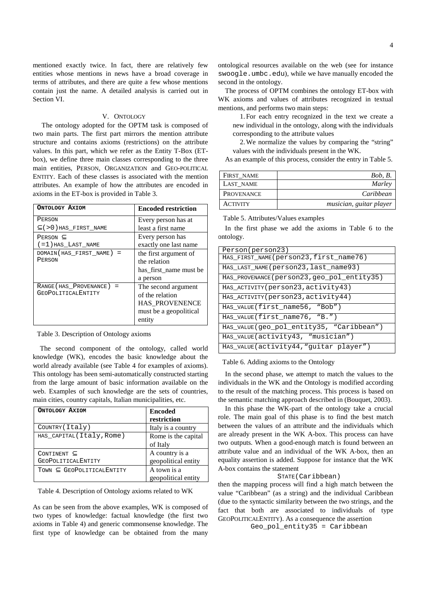mentioned exactly twice. In fact, there are relatively few entities whose mentions in news have a broad coverage in terms of attributes, and there are quite a few whose mentions contain just the name. A detailed analysis is carried out in Section VI.

## V. ONTOLOGY

 The ontology adopted for the OPTM task is composed of two main parts. The first part mirrors the mention attribute structure and contains axioms (restrictions) on the attribute values. In this part, which we refer as the Entity T-Box (ETbox), we define three main classes corresponding to the three main entities, PERSON, ORGANIZATION and GEO-POLITICAL ENTITY. Each of these classes is associated with the mention attributes. An example of how the attributes are encoded in axioms in the ET-box is provided in Table 3.

| ONTOLOGY AXIOM                | <b>Encoded restriction</b> |
|-------------------------------|----------------------------|
| PERSON                        | Every person has at        |
| $\subset$ (>0) HAS FIRST NAME | least a first name         |
| PERSON $\subset$              | Every person has           |
| $(=1)$ has Last name          | exactly one last name      |
| $DOMAIN(HAS FIRST NAME) =$    | the first argument of      |
| PERSON                        | the relation               |
|                               | has first name must be     |
|                               | a person                   |
| RANGE (HAS PROVENANCE) =      | The second argument        |
| <b>GEOPOLITICALENTITY</b>     | of the relation            |
|                               | HAS_PROVENENCE             |
|                               | must be a geopolitical     |
|                               | entity                     |

Table 3. Description of Ontology axioms

The second component of the ontology, called world knowledge (WK), encodes the basic knowledge about the world already available (see Table 4 for examples of axioms). This ontology has been semi-automatically constructed starting from the large amount of basic information available on the web. Examples of such knowledge are the sets of countries, main cities, country capitals, Italian municipalities, etc.

| ONTOLOGY AXIOM                                   | <b>Encoded</b><br>restriction         |
|--------------------------------------------------|---------------------------------------|
| COUNTRY (Italy)                                  | Italy is a country                    |
| HAS_CAPITAL(Italy, Rome)                         | Rome is the capital<br>of Italy       |
| CONTINENT $\subset$<br><b>GEOPOLITICALENTITY</b> | A country is a<br>geopolitical entity |
| TOWN C GEOPOLITICALENTITY                        | A town is a<br>geopolitical entity    |

Table 4. Description of Ontology axioms related to WK

As can be seen from the above examples, WK is composed of two types of knowledge: factual knowledge (the first two axioms in Table 4) and generic commonsense knowledge. The first type of knowledge can be obtained from the many ontological resources available on the web (see for instance swoogle.umbc.edu), while we have manually encoded the second in the ontology.

The process of OPTM combines the ontology ET-box with WK axioms and values of attributes recognized in textual mentions, and performs two main steps:

1.For each entry recognized in the text we create a new individual in the ontology, along with the individuals corresponding to the attribute values

2.We normalize the values by comparing the "string" values with the individuals present in the WK.

As an example of this process, consider the entry in Table 5.

| FIRST NAME        | Bob, B.                 |
|-------------------|-------------------------|
| LAST NAME         | Marley                  |
| <b>PROVENANCE</b> | Caribbean               |
| <b>ACTIVITY</b>   | musician, guitar player |

Table 5. Attributes/Values examples

In the first phase we add the axioms in Table 6 to the ontology.

| Person(person23)                            |
|---------------------------------------------|
| HAS FIRST NAME (person23, first name76)     |
| HAS LAST NAME (person23, last name 93)      |
| HAS PROVENANCE (person23, geo pol entity35) |
| HAS ACTIVITY (person23, activity43)         |
| HAS ACTIVITY (person23, activity44)         |
| HAS VALUE (first name56, "Bob")             |
| HAS VALUE (first name76, "B.")              |
| HAS_VALUE(geo_pol_entity35, "Caribbean")    |
| HAS VALUE (activity 43, "musician")         |
| HAS VALUE (activity 44, "quitar player")    |

Table 6. Adding axioms to the Ontology

In the second phase, we attempt to match the values to the individuals in the WK and the Ontology is modified according to the result of the matching process. This process is based on the semantic matching approach described in (Bouquet, 2003).

In this phase the WK-part of the ontology take a crucial role. The main goal of this phase is to find the best match between the values of an attribute and the individuals which are already present in the WK A-box. This process can have two outputs. When a good-enough match is found between an attribute value and an individual of the WK A-box, then an equality assertion is added. Suppose for instance that the WK A-box contains the statement

## STATE(Caribbean)

then the mapping process will find a high match between the value "Caribbean" (as a string) and the individual Caribbean (due to the syntactic similarity between the two strings, and the fact that both are associated to individuals of type GEOPOLITICALENTITY). As a consequence the assertion

Geo\_pol\_entity35 = Caribbean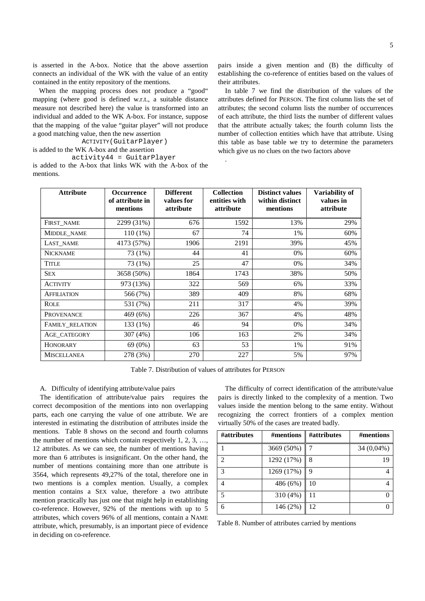is asserted in the A-box. Notice that the above assertion connects an individual of the WK with the value of an entity contained in the entity repository of the mentions.

When the mapping process does not produce a "good" mapping (where good is defined w.r.t., a suitable distance measure not described here) the value is transformed into an individual and added to the WK A-box. For instance, suppose that the mapping of the value "guitar player" will not produce a good matching value, then the new assertion

ACTIVITY(GuitarPlayer)

is added to the WK A-box and the assertion

activity44 = GuitarPlayer is added to the A-box that links WK with the A-box of the mentions.

pairs inside a given mention and (B) the difficulty of establishing the co-reference of entities based on the values of their attributes.

In table 7 we find the distribution of the values of the attributes defined for PERSON. The first column lists the set of attributes; the second column lists the number of occurrences of each attribute, the third lists the number of different values that the attribute actually takes; the fourth column lists the number of collection entities which have that attribute. Using this table as base table we try to determine the parameters which give us no clues on the two factors above

| <b>Attribute</b>   | <b>Occurrence</b><br>of attribute in<br>mentions | <b>Different</b><br>values for<br>attribute | <b>Collection</b><br>entities with<br>attribute | <b>Distinct values</b><br>within distinct<br>mentions | Variability of<br>values in<br>attribute |
|--------------------|--------------------------------------------------|---------------------------------------------|-------------------------------------------------|-------------------------------------------------------|------------------------------------------|
| FIRST NAME         | 2299 (31%)                                       | 676                                         | 1592                                            | 13%                                                   | 29%                                      |
| MIDDLE_NAME        | $110(1\%)$                                       | 67                                          | 74                                              | 1%                                                    | 60%                                      |
| LAST NAME          | 4173 (57%)                                       | 1906                                        | 2191                                            | 39%                                                   | 45%                                      |
| <b>NICKNAME</b>    | 73 (1%)                                          | 44                                          | 41                                              | 0%                                                    | 60%                                      |
| <b>TITLE</b>       | 73 (1%)                                          | 25                                          | 47                                              | 0%                                                    | 34%                                      |
| <b>SEX</b>         | 3658 (50%)                                       | 1864                                        | 1743                                            | 38%                                                   | 50%                                      |
| <b>ACTIVITY</b>    | 973 (13%)                                        | 322                                         | 569                                             | 6%                                                    | 33%                                      |
| <b>AFFILIATION</b> | 566 (7%)                                         | 389                                         | 409                                             | 8%                                                    | 68%                                      |
| <b>ROLE</b>        | 531 (7%)                                         | 211                                         | 317                                             | 4%                                                    | 39%                                      |
| <b>PROVENANCE</b>  | 469 (6%)                                         | 226                                         | 367                                             | 4%                                                    | 48%                                      |
| FAMILY RELATION    | 133 (1%)                                         | 46                                          | 94                                              | 0%                                                    | 34%                                      |
| AGE CATEGORY       | 307 (4%)                                         | 106                                         | 163                                             | 2%                                                    | 34%                                      |
| <b>HONORARY</b>    | 69 (0%)                                          | 63                                          | 53                                              | 1%                                                    | 91%                                      |
| <b>MISCELLANEA</b> | 278 (3%)                                         | 270                                         | 227                                             | 5%                                                    | 97%                                      |

.

Table 7. Distribution of values of attributes for PERSON

## A. Difficulty of identifying attribute/value pairs

The identification of attribute/value pairs requires the correct decomposition of the mentions into non overlapping parts, each one carrying the value of one attribute. We are interested in estimating the distribution of attributes inside the mentions. Table 8 shows on the second and fourth columns the number of mentions which contain respectively 1, 2, 3, …, 12 attributes. As we can see, the number of mentions having more than 6 attributes is insignificant. On the other hand, the number of mentions containing more than one attribute is 3564, which represents 49,27% of the total, therefore one in two mentions is a complex mention. Usually, a complex mention contains a SEX value, therefore a two attribute mention practically has just one that might help in establishing co-reference. However, 92% of the mentions with up to 5 attributes, which covers 96% of all mentions, contain a NAME attribute, which, presumably, is an important piece of evidence in deciding on co-reference.

The difficulty of correct identification of the attribute/value pairs is directly linked to the complexity of a mention. Two values inside the mention belong to the same entity. Without recognizing the correct frontiers of a complex mention virtually 50% of the cases are treated badly.

| #attributes    | #mentions  | #attributes | #mentions    |
|----------------|------------|-------------|--------------|
|                | 3669 (50%) |             | $34(0,04\%)$ |
| $\mathfrak{D}$ | 1292 (17%) | 8           | 19           |
| $\mathcal{R}$  | 1269 (17%) | 9           |              |
|                | 486 (6%)   | 10          |              |
| 5              | 310 (4%)   | 11          |              |
| 6              | 146 (2%)   | 12          |              |

Table 8. Number of attributes carried by mentions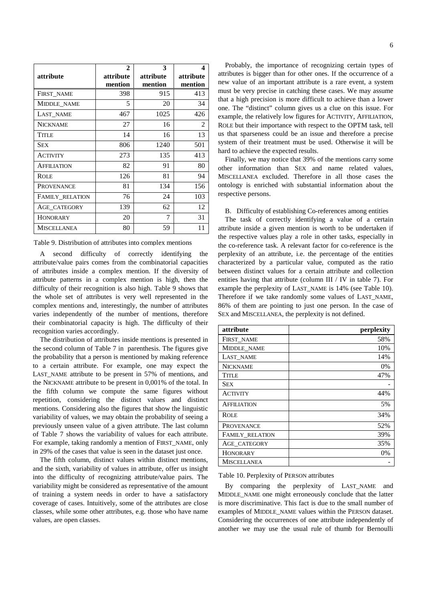|                    | $\mathbf{2}$ | 3         | 4         |
|--------------------|--------------|-----------|-----------|
| attribute          | attribute    | attribute | attribute |
|                    | mention      | mention   | mention   |
| FIRST NAME         | 398          | 915       | 413       |
| MIDDLE NAME        | 5            | 20        | 34        |
| LAST_NAME          | 467          | 1025      | 426       |
| <b>NICKNAME</b>    | 27           | 16        | 2         |
| <b>TITLE</b>       | 14           | 16        | 13        |
| <b>SEX</b>         | 806          | 1240      | 501       |
| <b>ACTIVITY</b>    | 273          | 135       | 413       |
| <b>AFFILIATION</b> | 82           | 91        | 80        |
| <b>ROLE</b>        | 126          | 81        | 94        |
| <b>PROVENANCE</b>  | 81           | 134       | 156       |
| FAMILY RELATION    | 76           | 24        | 103       |
| AGE CATEGORY       | 139          | 62        | 12        |
| <b>HONORARY</b>    | 20           | 7         | 31        |
| <b>MISCELLANEA</b> | 80           | 59        | 11        |

Table 9. Distribution of attributes into complex mentions

A second difficulty of correctly identifying the attribute/value pairs comes from the combinatorial capacities of attributes inside a complex mention. If the diversity of attribute patterns in a complex mention is high, then the difficulty of their recognition is also high. Table 9 shows that the whole set of attributes is very well represented in the complex mentions and, interestingly, the number of attributes varies independently of the number of mentions, therefore their combinatorial capacity is high. The difficulty of their recognition varies accordingly.

The distribution of attributes inside mentions is presented in the second column of Table 7 in parenthesis. The figures give the probability that a person is mentioned by making reference to a certain attribute. For example, one may expect the LAST\_NAME attribute to be present in 57% of mentions, and the NICKNAME attribute to be present in 0,001% of the total. In the fifth column we compute the same figures without repetition, considering the distinct values and distinct mentions. Considering also the figures that show the linguistic variability of values, we may obtain the probability of seeing a previously unseen value of a given attribute. The last column of Table 7 shows the variability of values for each attribute. For example, taking randomly a mention of FIRST\_NAME, only in 29% of the cases that value is seen in the dataset just once.

The fifth column, distinct values within distinct mentions, and the sixth, variability of values in attribute, offer us insight into the difficulty of recognizing attribute/value pairs. The variability might be considered as representative of the amount of training a system needs in order to have a satisfactory coverage of cases. Intuitively, some of the attributes are close classes, while some other attributes, e.g. those who have name values, are open classes.

Probably, the importance of recognizing certain types of attributes is bigger than for other ones. If the occurrence of a new value of an important attribute is a rare event, a system must be very precise in catching these cases. We may assume that a high precision is more difficult to achieve than a lower one. The "distinct" column gives us a clue on this issue. For example, the relatively low figures for ACTIVITY, AFFILIATION, ROLE but their importance with respect to the OPTM task, tell us that sparseness could be an issue and therefore a precise system of their treatment must be used. Otherwise it will be hard to achieve the expected results.

Finally, we may notice that 39% of the mentions carry some other information than SEX and name related values, MISCELLANEA excluded. Therefore in all those cases the ontology is enriched with substantial information about the respective persons.

B. Difficulty of establishing Co-references among entities

The task of correctly identifying a value of a certain attribute inside a given mention is worth to be undertaken if the respective values play a role in other tasks, especially in the co-reference task. A relevant factor for co-reference is the perplexity of an attribute, i.e. the percentage of the entities characterized by a particular value, computed as the ratio between distinct values for a certain attribute and collection entities having that attribute (column III / IV in table 7). For example the perplexity of LAST\_NAME is 14% (see Table 10). Therefore if we take randomly some values of LAST\_NAME, 86% of them are pointing to just one person. In the case of SEX and MISCELLANEA, the perplexity is not defined.

| attribute              | perplexity |
|------------------------|------------|
| FIRST NAME             | 58%        |
| MIDDLE_NAME            | 10%        |
| LAST NAME              | 14%        |
| <b>NICKNAME</b>        | 0%         |
| <b>TITLE</b>           | 47%        |
| <b>SEX</b>             |            |
| <b>ACTIVITY</b>        | 44%        |
| <b>AFFILIATION</b>     | 5%         |
| <b>ROLE</b>            | 34%        |
| PROVENANCE             | 52%        |
| <b>FAMILY RELATION</b> | 39%        |
| AGE CATEGORY           | 35%        |
| <b>HONORARY</b>        | 0%         |
| <b>MISCELLANEA</b>     |            |

#### Table 10. Perplexity of PERSON attributes

By comparing the perplexity of LAST\_NAME and MIDDLE\_NAME one might erroneously conclude that the latter is more discriminative. This fact is due to the small number of examples of MIDDLE\_NAME values within the PERSON dataset. Considering the occurrences of one attribute independently of another we may use the usual rule of thumb for Bernoulli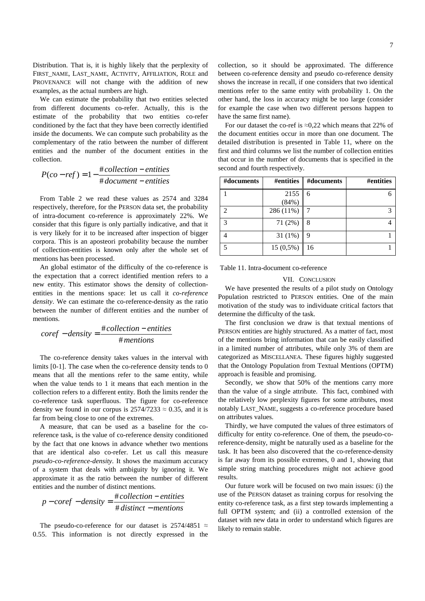Distribution. That is, it is highly likely that the perplexity of FIRST\_NAME, LAST\_NAME, ACTIVITY, AFFILIATION, ROLE and PROVENANCE will not change with the addition of new examples, as the actual numbers are high.

We can estimate the probability that two entities selected from different documents co-refer. Actually, this is the estimate of the probability that two entities co-refer conditioned by the fact that they have been correctly identified inside the documents. We can compute such probability as the complementary of the ratio between the number of different entities and the number of the document entities in the collection.

$$
P(co-ref) = 1 - \frac{\text{\#collection} - entities}{\text{\# document} - entities}
$$

From Table 2 we read these values as 2574 and 3284 respectively, therefore, for the PERSON data set, the probability of intra-document co-reference is approximately 22%. We consider that this figure is only partially indicative, and that it is very likely for it to be increased after inspection of bigger corpora. This is an aposteori probability because the number of collection-entities is known only after the whole set of mentions has been processed.

An global estimator of the difficulty of the co-reference is the expectation that a correct identified mention refers to a new entity. This estimator shows the density of collectionentities in the mentions space: let us call it *co-reference density*. We can estimate the co-reference-density as the ratio between the number of different entities and the number of mentions.

$$
coref-density = \frac{\text{\#collection} - entities}{\text{\# mentions}}
$$

The co-reference density takes values in the interval with limits [0-1]. The case when the co-reference density tends to 0 means that all the mentions refer to the same entity, while when the value tends to 1 it means that each mention in the collection refers to a different entity. Both the limits render the co-reference task superfluous. The figure for co-reference density we found in our corpus is  $2574/7233 \approx 0.35$ , and it is far from being close to one of the extremes.

A measure, that can be used as a baseline for the coreference task, is the value of co-reference density conditioned by the fact that one knows in advance whether two mentions that are identical also co-refer. Let us call this measure *pseudo-co-reference-density*. It shows the maximum accuracy of a system that deals with ambiguity by ignoring it. We approximate it as the ratio between the number of different entities and the number of distinct mentions.

$$
p-coref-density = \frac{\# collection-entities}{\# distinct-methods}
$$

The pseudo-co-reference for our dataset is 2574/4851  $\approx$ 0.55. This information is not directly expressed in the collection, so it should be approximated. The difference between co-reference density and pseudo co-reference density shows the increase in recall, if one considers that two identical mentions refer to the same entity with probability 1. On the other hand, the loss in accuracy might be too large (consider for example the case when two different persons happen to have the same first name).

For our dataset the co-ref is  $\approx 0.22$  which means that 22% of the document entities occur in more than one document. The detailed distribution is presented in Table 11, where on the first and third columns we list the number of collection entities that occur in the number of documents that is specified in the second and fourth respectively.

| #documents    | #entities   | #documents | #entities |
|---------------|-------------|------------|-----------|
|               | 2155        | 6          |           |
|               | (84%)       |            |           |
| $\mathcal{D}$ | 286 (11%)   |            |           |
| $\mathcal{R}$ | 71 (2%)     | 8          |           |
|               | $31(1\%)$   | 9          |           |
|               | $15(0,5\%)$ | 16         |           |

Table 11. Intra-document co-reference

## VII. CONCLUSION

We have presented the results of a pilot study on Ontology Population restricted to PERSON entities. One of the main motivation of the study was to individuate critical factors that determine the difficulty of the task.

The first conclusion we draw is that textual mentions of PERSON entities are highly structured. As a matter of fact, most of the mentions bring information that can be easily classified in a limited number of attributes, while only 3% of them are categorized as MISCELLANEA. These figures highly suggested that the Ontology Population from Textual Mentions (OPTM) approach is feasible and promising.

Secondly, we show that 50% of the mentions carry more than the value of a single attribute. This fact, combined with the relatively low perplexity figures for some attributes, most notably LAST\_NAME, suggests a co-reference procedure based on attributes values.

Thirdly, we have computed the values of three estimators of difficulty for entity co-reference. One of them, the pseudo-coreference-density, might be naturally used as a baseline for the task. It has been also discovered that the co-reference-density is far away from its possible extremes, 0 and 1, showing that simple string matching procedures might not achieve good results.

Our future work will be focused on two main issues: (i) the use of the PERSON dataset as training corpus for resolving the entity co-reference task, as a first step towards implementing a full OPTM system; and (ii) a controlled extension of the dataset with new data in order to understand which figures are likely to remain stable.